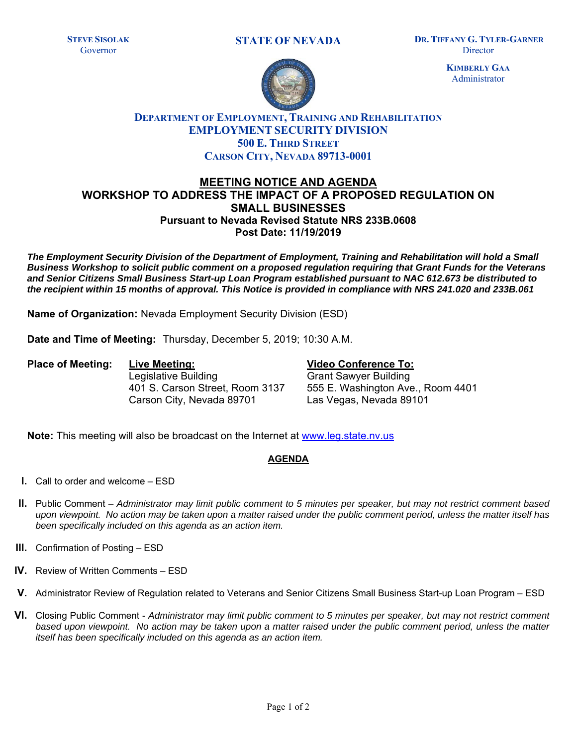**STATE OF NEVADA DR. TIFFANY G. TYLER-GARNER Director** 

> **KIMBERLY GAA** Administrator



# **DEPARTMENT OF EMPLOYMENT, TRAINING AND REHABILITATION EMPLOYMENT SECURITY DIVISION 500 E. THIRD STREET CARSON CITY, NEVADA 89713-0001**

# **MEETING NOTICE AND AGENDA WORKSHOP TO ADDRESS THE IMPACT OF A PROPOSED REGULATION ON SMALL BUSINESSES Pursuant to Nevada Revised Statute NRS 233B.0608 Post Date: 11/19/2019**

*The Employment Security Division of the Department of Employment, Training and Rehabilitation will hold a Small Business Workshop to solicit public comment on a proposed regulation requiring that Grant Funds for the Veterans and Senior Citizens Small Business Start-up Loan Program established pursuant to NAC 612.673 be distributed to the recipient within 15 months of approval. This Notice is provided in compliance with NRS 241.020 and 233B.061* 

**Name of Organization:** Nevada Employment Security Division (ESD)

**Date and Time of Meeting:** Thursday, December 5, 2019; 10:30 A.M.

**Place of Meeting: Live Meeting: Video Conference To:** Legislative Building **Grant Sawyer Building** 

 401 S. Carson Street, Room 3137 555 E. Washington Ave., Room 4401 Carson City, Nevada 89701 Las Vegas, Nevada 89101

**Note:** This meeting will also be broadcast on the Internet at www.leg.state.nv.us

## **AGENDA**

- **I.** Call to order and welcome ESD
- **II.** Public Comment *Administrator may limit public comment to 5 minutes per speaker, but may not restrict comment based upon viewpoint. No action may be taken upon a matter raised under the public comment period, unless the matter itself has been specifically included on this agenda as an action item.*
- **III.** Confirmation of Posting ESD
- **IV.** Review of Written Comments ESD
- **V.** Administrator Review of Regulation related to Veterans and Senior Citizens Small Business Start-up Loan Program ESD
- **VI.** Closing Public Comment *Administrator may limit public comment to 5 minutes per speaker, but may not restrict comment based upon viewpoint. No action may be taken upon a matter raised under the public comment period, unless the matter itself has been specifically included on this agenda as an action item.*